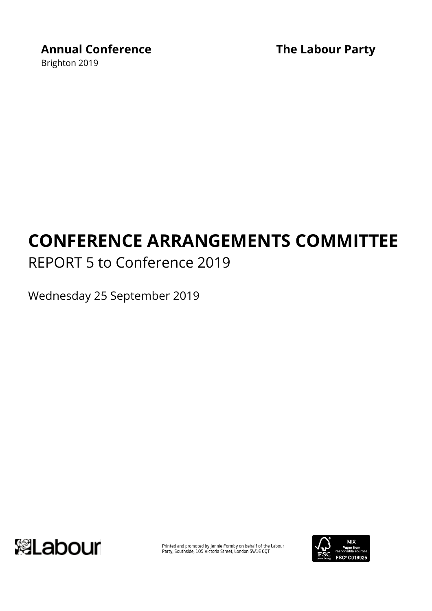### **Annual Conference The Labour Party**

Brighton 2019

# **CONFERENCE ARRANGEMENTS COMMITTEE**

# REPORT 5 to Conference 2019

Wednesday 25 September 2019



Printed and promoted by Jennie Formby on behalf of the Labour<br>Party, Southside, 105 Victoria Street, London SW1E 6QT

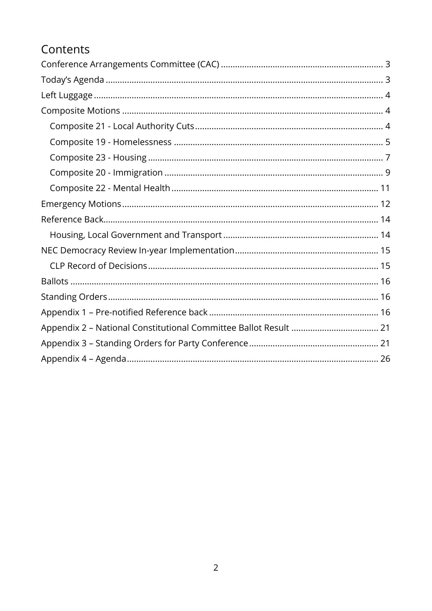### Contents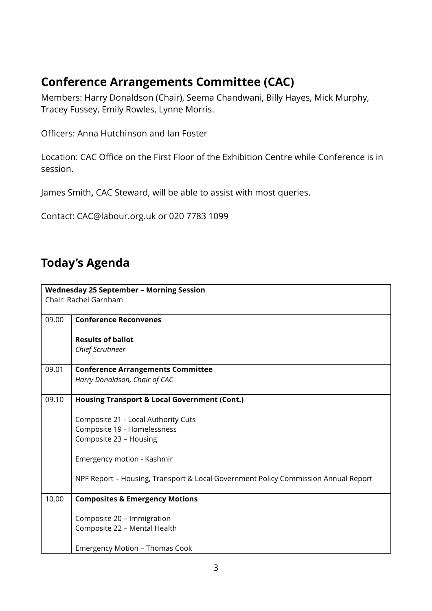### <span id="page-2-0"></span>**Conference Arrangements Committee (CAC)**

Members: Harry Donaldson (Chair), Seema Chandwani, Billy Hayes, Mick Murphy, Tracey Fussey, Emily Rowles, Lynne Morris.

Officers: Anna Hutchinson and Ian Foster

Location: CAC Office on the First Floor of the Exhibition Centre while Conference is in session.

James Smith**,** CAC Steward, will be able to assist with most queries.

Contact: [CAC@labour.org.uk](mailto:CAC@labour.org.uk) or 020 7783 1099

### <span id="page-2-1"></span>**Today's Agenda**

| <b>Wednesday 25 September - Morning Session</b><br>Chair: Rachel Garnham           |
|------------------------------------------------------------------------------------|
| <b>Conference Reconvenes</b>                                                       |
| <b>Results of ballot</b>                                                           |
| <b>Chief Scrutineer</b>                                                            |
| <b>Conference Arrangements Committee</b>                                           |
| Harry Donaldson, Chair of CAC                                                      |
| <b>Housing Transport &amp; Local Government (Cont.)</b>                            |
| Composite 21 - Local Authority Cuts                                                |
| Composite 19 - Homelessness                                                        |
| Composite 23 - Housing                                                             |
| Emergency motion - Kashmir                                                         |
| NPF Report - Housing, Transport & Local Government Policy Commission Annual Report |
| <b>Composites &amp; Emergency Motions</b>                                          |
| Composite 20 - Immigration                                                         |
| Composite 22 - Mental Health                                                       |
| <b>Emergency Motion - Thomas Cook</b>                                              |
|                                                                                    |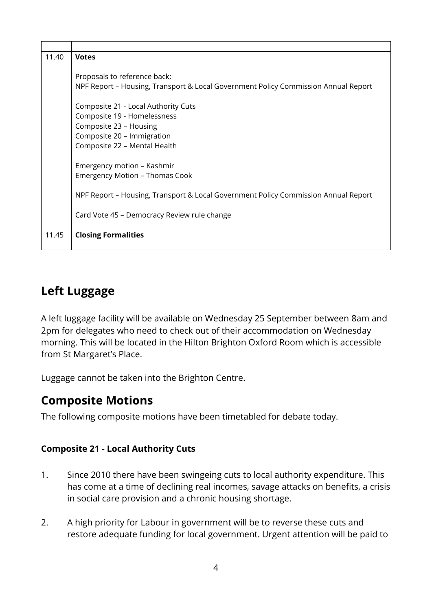| 11.40 | <b>Votes</b>                                                                       |
|-------|------------------------------------------------------------------------------------|
|       |                                                                                    |
|       | Proposals to reference back;                                                       |
|       | NPF Report – Housing, Transport & Local Government Policy Commission Annual Report |
|       | Composite 21 - Local Authority Cuts                                                |
|       | Composite 19 - Homelessness                                                        |
|       | Composite 23 - Housing                                                             |
|       | Composite 20 - Immigration                                                         |
|       | Composite 22 - Mental Health                                                       |
|       | Emergency motion - Kashmir                                                         |
|       | Emergency Motion - Thomas Cook                                                     |
|       |                                                                                    |
|       | NPF Report – Housing, Transport & Local Government Policy Commission Annual Report |
|       | Card Vote 45 - Democracy Review rule change                                        |
|       |                                                                                    |
| 11.45 | <b>Closing Formalities</b>                                                         |
|       |                                                                                    |

### <span id="page-3-0"></span>**Left Luggage**

A left luggage facility will be available on Wednesday 25 September between 8am and 2pm for delegates who need to check out of their accommodation on Wednesday morning. This will be located in the Hilton Brighton Oxford Room which is accessible from St Margaret's Place.

Luggage cannot be taken into the Brighton Centre.

### <span id="page-3-1"></span>**Composite Motions**

The following composite motions have been timetabled for debate today.

### <span id="page-3-2"></span>**Composite 21 - Local Authority Cuts**

- 1. Since 2010 there have been swingeing cuts to local authority expenditure. This has come at a time of declining real incomes, savage attacks on benefits, a crisis in social care provision and a chronic housing shortage.
- 2. A high priority for Labour in government will be to reverse these cuts and restore adequate funding for local government. Urgent attention will be paid to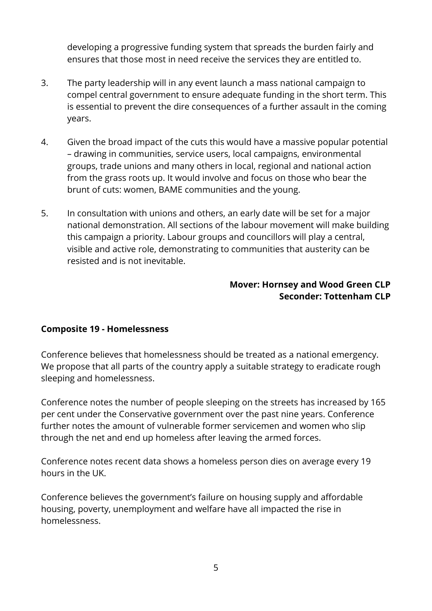developing a progressive funding system that spreads the burden fairly and ensures that those most in need receive the services they are entitled to.

- 3. The party leadership will in any event launch a mass national campaign to compel central government to ensure adequate funding in the short term. This is essential to prevent the dire consequences of a further assault in the coming years.
- 4. Given the broad impact of the cuts this would have a massive popular potential – drawing in communities, service users, local campaigns, environmental groups, trade unions and many others in local, regional and national action from the grass roots up. It would involve and focus on those who bear the brunt of cuts: women, BAME communities and the young.
- 5. In consultation with unions and others, an early date will be set for a major national demonstration. All sections of the labour movement will make building this campaign a priority. Labour groups and councillors will play a central, visible and active role, demonstrating to communities that austerity can be resisted and is not inevitable.

### **Mover: Hornsey and Wood Green CLP Seconder: Tottenham CLP**

### <span id="page-4-0"></span>**Composite 19 - Homelessness**

Conference believes that homelessness should be treated as a national emergency. We propose that all parts of the country apply a suitable strategy to eradicate rough sleeping and homelessness.

Conference notes the number of people sleeping on the streets has increased by 165 per cent under the Conservative government over the past nine years. Conference further notes the amount of vulnerable former servicemen and women who slip through the net and end up homeless after leaving the armed forces.

Conference notes recent data shows a homeless person dies on average every 19 hours in the UK.

Conference believes the government's failure on housing supply and affordable housing, poverty, unemployment and welfare have all impacted the rise in homelessness.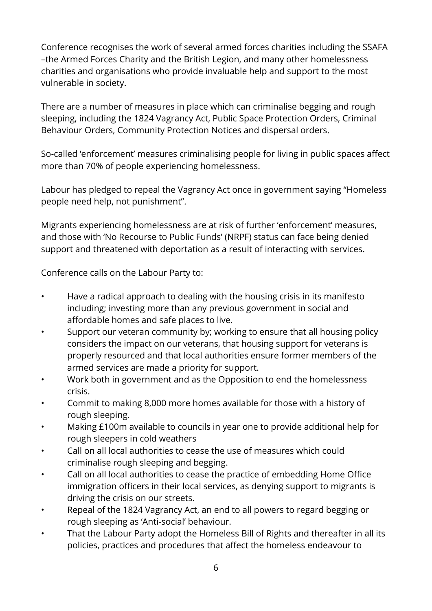Conference recognises the work of several armed forces charities including the SSAFA –the Armed Forces Charity and the British Legion, and many other homelessness charities and organisations who provide invaluable help and support to the most vulnerable in society.

There are a number of measures in place which can criminalise begging and rough sleeping, including the 1824 Vagrancy Act, Public Space Protection Orders, Criminal Behaviour Orders, Community Protection Notices and dispersal orders.

So-called 'enforcement' measures criminalising people for living in public spaces affect more than 70% of people experiencing homelessness.

Labour has pledged to repeal the Vagrancy Act once in government saying "Homeless people need help, not punishment".

Migrants experiencing homelessness are at risk of further 'enforcement' measures, and those with 'No Recourse to Public Funds' (NRPF) status can face being denied support and threatened with deportation as a result of interacting with services.

Conference calls on the Labour Party to:

- Have a radical approach to dealing with the housing crisis in its manifesto including; investing more than any previous government in social and affordable homes and safe places to live.
- Support our veteran community by; working to ensure that all housing policy considers the impact on our veterans, that housing support for veterans is properly resourced and that local authorities ensure former members of the armed services are made a priority for support.
- Work both in government and as the Opposition to end the homelessness crisis.
- Commit to making 8,000 more homes available for those with a history of rough sleeping.
- Making £100m available to councils in year one to provide additional help for rough sleepers in cold weathers
- Call on all local authorities to cease the use of measures which could criminalise rough sleeping and begging.
- Call on all local authorities to cease the practice of embedding Home Office immigration officers in their local services, as denying support to migrants is driving the crisis on our streets.
- Repeal of the 1824 Vagrancy Act, an end to all powers to regard begging or rough sleeping as 'Anti-social' behaviour.
- That the Labour Party adopt the Homeless Bill of Rights and thereafter in all its policies, practices and procedures that affect the homeless endeavour to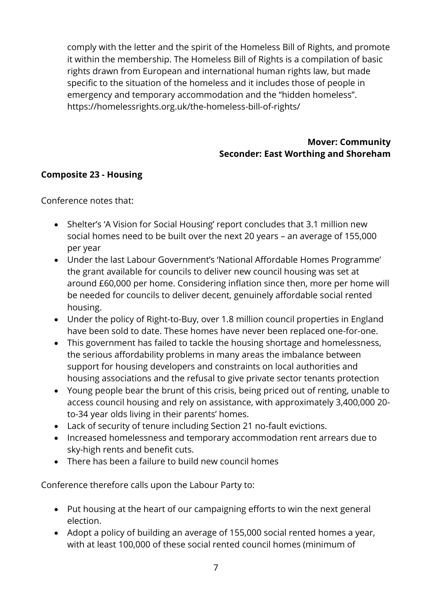comply with the letter and the spirit of the Homeless Bill of Rights, and promote it within the membership. The Homeless Bill of Rights is a compilation of basic rights drawn from European and international human rights law, but made specific to the situation of the homeless and it includes those of people in emergency and temporary accommodation and the "hidden homeless". https://homelessrights.org.uk/the-homeless-bill-of-rights/

### **Mover: Community Seconder: East Worthing and Shoreham**

### <span id="page-6-0"></span>**Composite 23 - Housing**

Conference notes that:

- Shelter's 'A Vision for Social Housing' report concludes that 3.1 million new social homes need to be built over the next 20 years – an average of 155,000 per year
- Under the last Labour Government's 'National Affordable Homes Programme' the grant available for councils to deliver new council housing was set at around £60,000 per home. Considering inflation since then, more per home will be needed for councils to deliver decent, genuinely affordable social rented housing.
- Under the policy of Right-to-Buy, over 1.8 million council properties in England have been sold to date. These homes have never been replaced one-for-one.
- This government has failed to tackle the housing shortage and homelessness, the serious affordability problems in many areas the imbalance between support for housing developers and constraints on local authorities and housing associations and the refusal to give private sector tenants protection
- Young people bear the brunt of this crisis, being priced out of renting, unable to access council housing and rely on assistance, with approximately 3,400,000 20 to-34 year olds living in their parents' homes.
- Lack of security of tenure including Section 21 no-fault evictions.
- Increased homelessness and temporary accommodation rent arrears due to sky-high rents and benefit cuts.
- There has been a failure to build new council homes

Conference therefore calls upon the Labour Party to:

- Put housing at the heart of our campaigning efforts to win the next general election.
- Adopt a policy of building an average of 155,000 social rented homes a year, with at least 100,000 of these social rented council homes (minimum of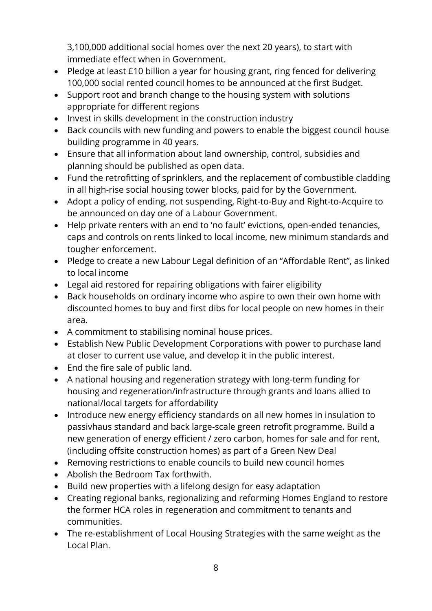3,100,000 additional social homes over the next 20 years), to start with immediate effect when in Government.

- Pledge at least £10 billion a year for housing grant, ring fenced for delivering 100,000 social rented council homes to be announced at the first Budget.
- Support root and branch change to the housing system with solutions appropriate for different regions
- Invest in skills development in the construction industry
- Back councils with new funding and powers to enable the biggest council house building programme in 40 years.
- Ensure that all information about land ownership, control, subsidies and planning should be published as open data.
- Fund the retrofitting of sprinklers, and the replacement of combustible cladding in all high-rise social housing tower blocks, paid for by the Government.
- Adopt a policy of ending, not suspending, Right-to-Buy and Right-to-Acquire to be announced on day one of a Labour Government.
- Help private renters with an end to 'no fault' evictions, open-ended tenancies, caps and controls on rents linked to local income, new minimum standards and tougher enforcement.
- Pledge to create a new Labour Legal definition of an "Affordable Rent", as linked to local income
- Legal aid restored for repairing obligations with fairer eligibility
- Back households on ordinary income who aspire to own their own home with discounted homes to buy and first dibs for local people on new homes in their area.
- A commitment to stabilising nominal house prices.
- Establish New Public Development Corporations with power to purchase land at closer to current use value, and develop it in the public interest.
- End the fire sale of public land.
- A national housing and regeneration strategy with long-term funding for housing and regeneration/infrastructure through grants and loans allied to national/local targets for affordability
- Introduce new energy efficiency standards on all new homes in insulation to passivhaus standard and back large-scale green retrofit programme. Build a new generation of energy efficient / zero carbon, homes for sale and for rent, (including offsite construction homes) as part of a Green New Deal
- Removing restrictions to enable councils to build new council homes
- Abolish the Bedroom Tax forthwith.
- Build new properties with a lifelong design for easy adaptation
- Creating regional banks, regionalizing and reforming Homes England to restore the former HCA roles in regeneration and commitment to tenants and communities.
- The re-establishment of Local Housing Strategies with the same weight as the Local Plan.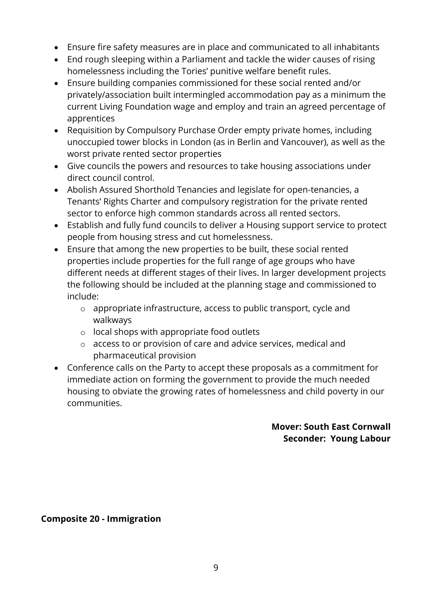- Ensure fire safety measures are in place and communicated to all inhabitants
- End rough sleeping within a Parliament and tackle the wider causes of rising homelessness including the Tories' punitive welfare benefit rules.
- Ensure building companies commissioned for these social rented and/or privately/association built intermingled accommodation pay as a minimum the current Living Foundation wage and employ and train an agreed percentage of apprentices
- Requisition by Compulsory Purchase Order empty private homes, including unoccupied tower blocks in London (as in Berlin and Vancouver), as well as the worst private rented sector properties
- Give councils the powers and resources to take housing associations under direct council control.
- Abolish Assured Shorthold Tenancies and legislate for open-tenancies, a Tenants' Rights Charter and compulsory registration for the private rented sector to enforce high common standards across all rented sectors.
- Establish and fully fund councils to deliver a Housing support service to protect people from housing stress and cut homelessness.
- Ensure that among the new properties to be built, these social rented properties include properties for the full range of age groups who have different needs at different stages of their lives. In larger development projects the following should be included at the planning stage and commissioned to include:
	- o appropriate infrastructure, access to public transport, cycle and walkways
	- o local shops with appropriate food outlets
	- o access to or provision of care and advice services, medical and pharmaceutical provision
- Conference calls on the Party to accept these proposals as a commitment for immediate action on forming the government to provide the much needed housing to obviate the growing rates of homelessness and child poverty in our communities.

### **Mover: South East Cornwall Seconder: Young Labour**

### <span id="page-8-0"></span>**Composite 20 - Immigration**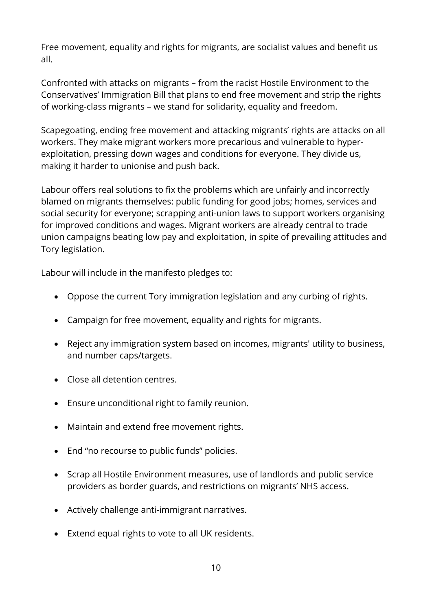Free movement, equality and rights for migrants, are socialist values and benefit us all.

Confronted with attacks on migrants – from the racist Hostile Environment to the Conservatives' Immigration Bill that plans to end free movement and strip the rights of working-class migrants – we stand for solidarity, equality and freedom.

Scapegoating, ending free movement and attacking migrants' rights are attacks on all workers. They make migrant workers more precarious and vulnerable to hyperexploitation, pressing down wages and conditions for everyone. They divide us, making it harder to unionise and push back.

Labour offers real solutions to fix the problems which are unfairly and incorrectly blamed on migrants themselves: public funding for good jobs; homes, services and social security for everyone; scrapping anti-union laws to support workers organising for improved conditions and wages. Migrant workers are already central to trade union campaigns beating low pay and exploitation, in spite of prevailing attitudes and Tory legislation.

Labour will include in the manifesto pledges to:

- Oppose the current Tory immigration legislation and any curbing of rights.
- Campaign for free movement, equality and rights for migrants.
- Reject any immigration system based on incomes, migrants' utility to business, and number caps/targets.
- Close all detention centres.
- Ensure unconditional right to family reunion.
- Maintain and extend free movement rights.
- End "no recourse to public funds" policies.
- Scrap all Hostile Environment measures, use of landlords and public service providers as border guards, and restrictions on migrants' NHS access.
- Actively challenge anti-immigrant narratives.
- Extend equal rights to vote to all UK residents.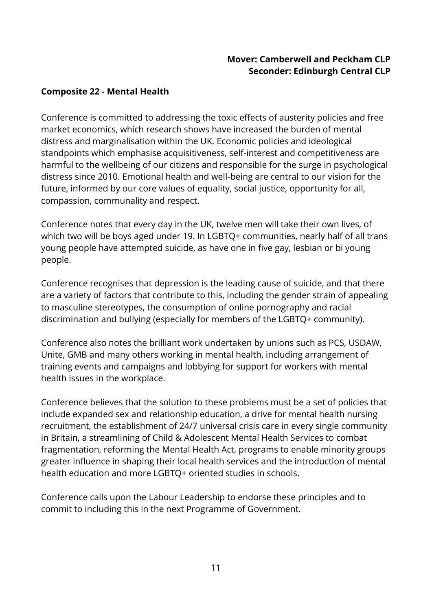### **Mover: Camberwell and Peckham CLP Seconder: Edinburgh Central CLP**

### <span id="page-10-0"></span>**Composite 22 - Mental Health**

Conference is committed to addressing the toxic effects of austerity policies and free market economics, which research shows have increased the burden of mental distress and marginalisation within the UK. Economic policies and ideological standpoints which emphasise acquisitiveness, self-interest and competitiveness are harmful to the wellbeing of our citizens and responsible for the surge in psychological distress since 2010. Emotional health and well-being are central to our vision for the future, informed by our core values of equality, social justice, opportunity for all, compassion, communality and respect.

Conference notes that every day in the UK, twelve men will take their own lives, of which two will be boys aged under 19. In LGBTQ+ communities, nearly half of all trans young people have attempted suicide, as have one in five gay, lesbian or bi young people.

Conference recognises that depression is the leading cause of suicide, and that there are a variety of factors that contribute to this, including the gender strain of appealing to masculine stereotypes, the consumption of online pornography and racial discrimination and bullying (especially for members of the LGBTQ+ community).

Conference also notes the brilliant work undertaken by unions such as PCS, USDAW, Unite, GMB and many others working in mental health, including arrangement of training events and campaigns and lobbying for support for workers with mental health issues in the workplace.

Conference believes that the solution to these problems must be a set of policies that include expanded sex and relationship education, a drive for mental health nursing recruitment, the establishment of 24/7 universal crisis care in every single community in Britain, a streamlining of Child & Adolescent Mental Health Services to combat fragmentation, reforming the Mental Health Act, programs to enable minority groups greater influence in shaping their local health services and the introduction of mental health education and more LGBTQ+ oriented studies in schools.

Conference calls upon the Labour Leadership to endorse these principles and to commit to including this in the next Programme of Government.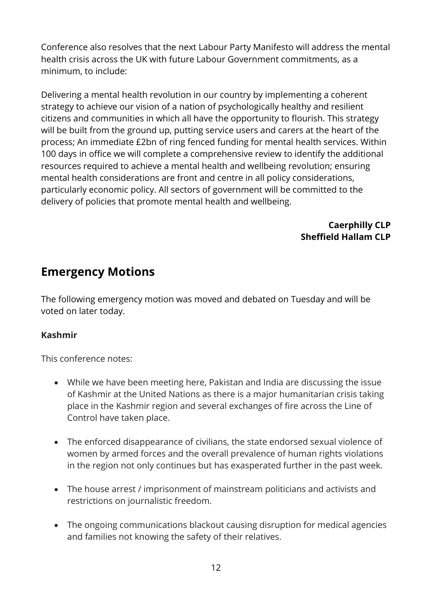Conference also resolves that the next Labour Party Manifesto will address the mental health crisis across the UK with future Labour Government commitments, as a minimum, to include:

Delivering a mental health revolution in our country by implementing a coherent strategy to achieve our vision of a nation of psychologically healthy and resilient citizens and communities in which all have the opportunity to flourish. This strategy will be built from the ground up, putting service users and carers at the heart of the process; An immediate £2bn of ring fenced funding for mental health services. Within 100 days in office we will complete a comprehensive review to identify the additional resources required to achieve a mental health and wellbeing revolution; ensuring mental health considerations are front and centre in all policy considerations, particularly economic policy. All sectors of government will be committed to the delivery of policies that promote mental health and wellbeing.

> **Caerphilly CLP Sheffield Hallam CLP**

### <span id="page-11-0"></span>**Emergency Motions**

The following emergency motion was moved and debated on Tuesday and will be voted on later today.

### **Kashmir**

This conference notes:

- While we have been meeting here, Pakistan and India are discussing the issue of Kashmir at the United Nations as there is a major humanitarian crisis taking place in the Kashmir region and several exchanges of fire across the Line of Control have taken place.
- The enforced disappearance of civilians, the state endorsed sexual violence of women by armed forces and the overall prevalence of human rights violations in the region not only continues but has exasperated further in the past week.
- The house arrest / imprisonment of mainstream politicians and activists and restrictions on journalistic freedom.
- The ongoing communications blackout causing disruption for medical agencies and families not knowing the safety of their relatives.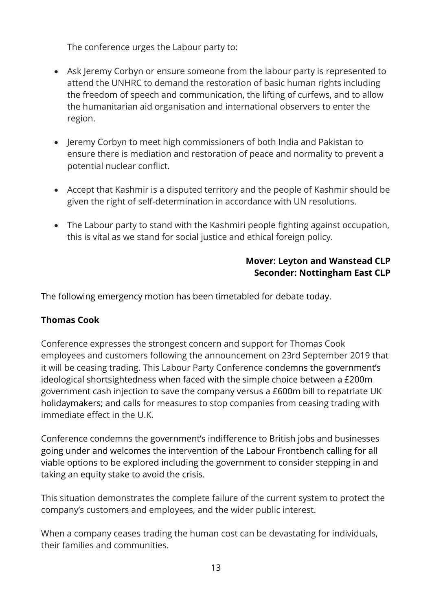The conference urges the Labour party to:

- Ask Jeremy Corbyn or ensure someone from the labour party is represented to attend the UNHRC to demand the restoration of basic human rights including the freedom of speech and communication, the lifting of curfews, and to allow the humanitarian aid organisation and international observers to enter the region.
- Jeremy Corbyn to meet high commissioners of both India and Pakistan to ensure there is mediation and restoration of peace and normality to prevent a potential nuclear conflict.
- Accept that Kashmir is a disputed territory and the people of Kashmir should be given the right of self-determination in accordance with UN resolutions.
- The Labour party to stand with the Kashmiri people fighting against occupation, this is vital as we stand for social justice and ethical foreign policy.

### **Mover: Leyton and Wanstead CLP Seconder: Nottingham East CLP**

The following emergency motion has been timetabled for debate today.

### **Thomas Cook**

Conference expresses the strongest concern and support for Thomas Cook employees and customers following the announcement on 23rd September 2019 that it will be ceasing trading. This Labour Party Conference condemns the government's ideological shortsightedness when faced with the simple choice between a £200m government cash injection to save the company versus a £600m bill to repatriate UK holidaymakers; and calls for measures to stop companies from ceasing trading with immediate effect in the U.K.

Conference condemns the government's indifference to British jobs and businesses going under and welcomes the intervention of the Labour Frontbench calling for all viable options to be explored including the government to consider stepping in and taking an equity stake to avoid the crisis.

This situation demonstrates the complete failure of the current system to protect the company's customers and employees, and the wider public interest.

When a company ceases trading the human cost can be devastating for individuals, their families and communities.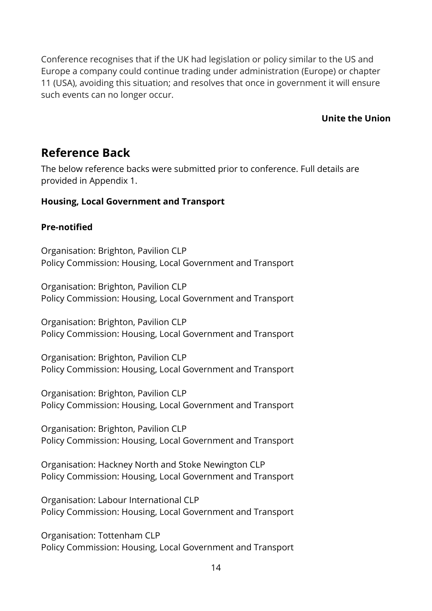Conference recognises that if the UK had legislation or policy similar to the US and Europe a company could continue trading under administration (Europe) or chapter 11 (USA), avoiding this situation; and resolves that once in government it will ensure such events can no longer occur.

#### **Unite the Union**

### <span id="page-13-0"></span>**Reference Back**

The below reference backs were submitted prior to conference. Full details are provided in Appendix 1.

### <span id="page-13-1"></span>**Housing, Local Government and Transport**

### **Pre-notified**

Organisation: Brighton, Pavilion CLP Policy Commission: Housing, Local Government and Transport

Organisation: Brighton, Pavilion CLP Policy Commission: Housing, Local Government and Transport

Organisation: Brighton, Pavilion CLP Policy Commission: Housing, Local Government and Transport

Organisation: Brighton, Pavilion CLP Policy Commission: Housing, Local Government and Transport

Organisation: Brighton, Pavilion CLP Policy Commission: Housing, Local Government and Transport

Organisation: Brighton, Pavilion CLP Policy Commission: Housing, Local Government and Transport

Organisation: Hackney North and Stoke Newington CLP Policy Commission: Housing, Local Government and Transport

Organisation: Labour International CLP Policy Commission: Housing, Local Government and Transport

Organisation: Tottenham CLP Policy Commission: Housing, Local Government and Transport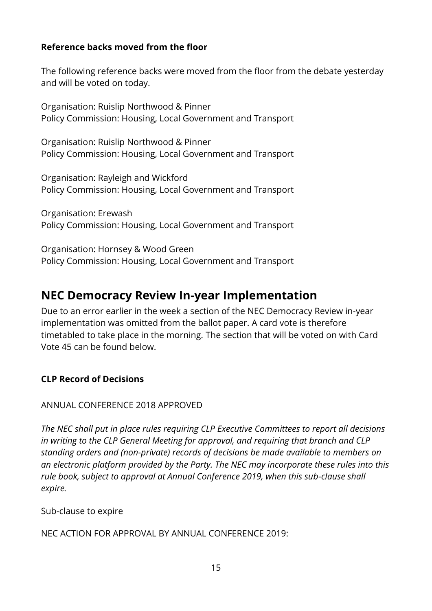### **Reference backs moved from the floor**

The following reference backs were moved from the floor from the debate yesterday and will be voted on today.

Organisation: Ruislip Northwood & Pinner Policy Commission: Housing, Local Government and Transport

Organisation: Ruislip Northwood & Pinner Policy Commission: Housing, Local Government and Transport

Organisation: Rayleigh and Wickford Policy Commission: Housing, Local Government and Transport

Organisation: Erewash Policy Commission: Housing, Local Government and Transport

Organisation: Hornsey & Wood Green Policy Commission: Housing, Local Government and Transport

### <span id="page-14-0"></span>**NEC Democracy Review In-year Implementation**

Due to an error earlier in the week a section of the NEC Democracy Review in-year implementation was omitted from the ballot paper. A card vote is therefore timetabled to take place in the morning. The section that will be voted on with Card Vote 45 can be found below.

### <span id="page-14-1"></span>**CLP Record of Decisions**

### ANNUAL CONFERENCE 2018 APPROVED

*The NEC shall put in place rules requiring CLP Executive Committees to report all decisions in writing to the CLP General Meeting for approval, and requiring that branch and CLP standing orders and (non-private) records of decisions be made available to members on an electronic platform provided by the Party. The NEC may incorporate these rules into this rule book, subject to approval at Annual Conference 2019, when this sub-clause shall expire.*

Sub-clause to expire

NEC ACTION FOR APPROVAL BY ANNUAL CONFERENCE 2019: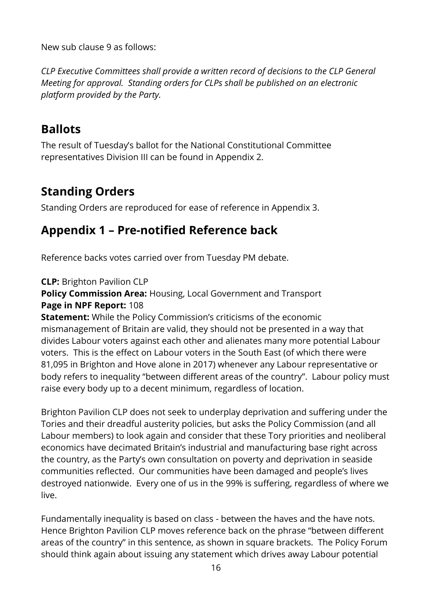New sub clause 9 as follows:

*CLP Executive Committees shall provide a written record of decisions to the CLP General Meeting for approval. Standing orders for CLPs shall be published on an electronic platform provided by the Party.*

### <span id="page-15-0"></span>**Ballots**

The result of Tuesday's ballot for the National Constitutional Committee representatives Division III can be found in Appendix 2.

### <span id="page-15-1"></span>**Standing Orders**

Standing Orders are reproduced for ease of reference in Appendix 3.

### <span id="page-15-2"></span>**Appendix 1 – Pre-notified Reference back**

Reference backs votes carried over from Tuesday PM debate.

### **CLP:** Brighton Pavilion CLP

**Policy Commission Area:** Housing, Local Government and Transport **Page in NPF Report:** 108

**Statement:** While the Policy Commission's criticisms of the economic mismanagement of Britain are valid, they should not be presented in a way that divides Labour voters against each other and alienates many more potential Labour voters. This is the effect on Labour voters in the South East (of which there were 81,095 in Brighton and Hove alone in 2017) whenever any Labour representative or body refers to inequality "between different areas of the country". Labour policy must raise every body up to a decent minimum, regardless of location.

Brighton Pavilion CLP does not seek to underplay deprivation and suffering under the Tories and their dreadful austerity policies, but asks the Policy Commission (and all Labour members) to look again and consider that these Tory priorities and neoliberal economics have decimated Britain's industrial and manufacturing base right across the country, as the Party's own consultation on poverty and deprivation in seaside communities reflected. Our communities have been damaged and people's lives destroyed nationwide. Every one of us in the 99% is suffering, regardless of where we live.

Fundamentally inequality is based on class - between the haves and the have nots. Hence Brighton Pavilion CLP moves reference back on the phrase "between different areas of the country" in this sentence, as shown in square brackets. The Policy Forum should think again about issuing any statement which drives away Labour potential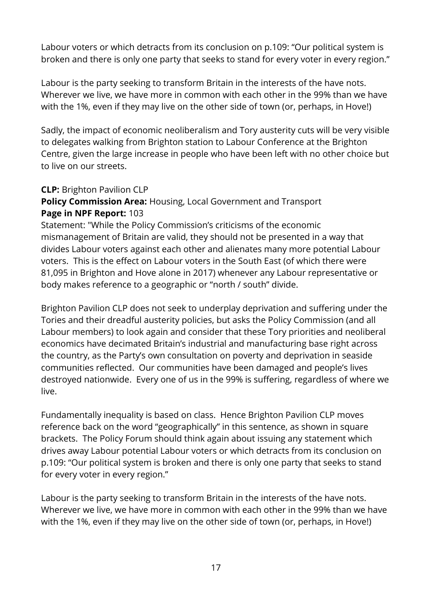Labour voters or which detracts from its conclusion on p.109: "Our political system is broken and there is only one party that seeks to stand for every voter in every region."

Labour is the party seeking to transform Britain in the interests of the have nots. Wherever we live, we have more in common with each other in the 99% than we have with the 1%, even if they may live on the other side of town (or, perhaps, in Hove!)

Sadly, the impact of economic neoliberalism and Tory austerity cuts will be very visible to delegates walking from Brighton station to Labour Conference at the Brighton Centre, given the large increase in people who have been left with no other choice but to live on our streets.

### **CLP:** Brighton Pavilion CLP

### **Policy Commission Area:** Housing, Local Government and Transport **Page in NPF Report:** 103

Statement: "While the Policy Commission's criticisms of the economic mismanagement of Britain are valid, they should not be presented in a way that divides Labour voters against each other and alienates many more potential Labour voters. This is the effect on Labour voters in the South East (of which there were 81,095 in Brighton and Hove alone in 2017) whenever any Labour representative or body makes reference to a geographic or "north / south" divide.

Brighton Pavilion CLP does not seek to underplay deprivation and suffering under the Tories and their dreadful austerity policies, but asks the Policy Commission (and all Labour members) to look again and consider that these Tory priorities and neoliberal economics have decimated Britain's industrial and manufacturing base right across the country, as the Party's own consultation on poverty and deprivation in seaside communities reflected. Our communities have been damaged and people's lives destroyed nationwide. Every one of us in the 99% is suffering, regardless of where we live.

Fundamentally inequality is based on class. Hence Brighton Pavilion CLP moves reference back on the word "geographically" in this sentence, as shown in square brackets. The Policy Forum should think again about issuing any statement which drives away Labour potential Labour voters or which detracts from its conclusion on p.109: "Our political system is broken and there is only one party that seeks to stand for every voter in every region."

Labour is the party seeking to transform Britain in the interests of the have nots. Wherever we live, we have more in common with each other in the 99% than we have with the 1%, even if they may live on the other side of town (or, perhaps, in Hove!)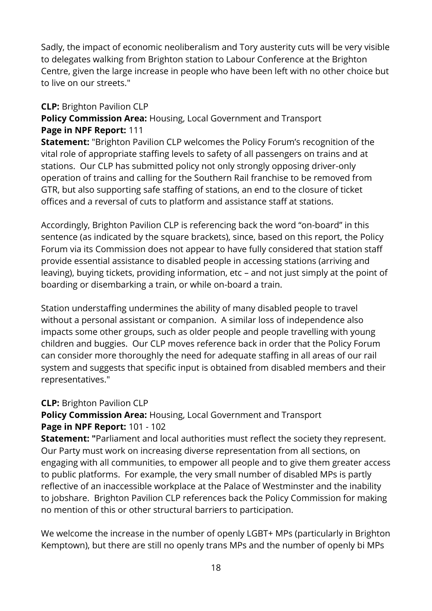Sadly, the impact of economic neoliberalism and Tory austerity cuts will be very visible to delegates walking from Brighton station to Labour Conference at the Brighton Centre, given the large increase in people who have been left with no other choice but to live on our streets."

### **CLP:** Brighton Pavilion CLP

### **Policy Commission Area:** Housing, Local Government and Transport **Page in NPF Report:** 111

**Statement:** "Brighton Pavilion CLP welcomes the Policy Forum's recognition of the vital role of appropriate staffing levels to safety of all passengers on trains and at stations. Our CLP has submitted policy not only strongly opposing driver-only operation of trains and calling for the Southern Rail franchise to be removed from GTR, but also supporting safe staffing of stations, an end to the closure of ticket offices and a reversal of cuts to platform and assistance staff at stations.

Accordingly, Brighton Pavilion CLP is referencing back the word "on-board" in this sentence (as indicated by the square brackets), since, based on this report, the Policy Forum via its Commission does not appear to have fully considered that station staff provide essential assistance to disabled people in accessing stations (arriving and leaving), buying tickets, providing information, etc – and not just simply at the point of boarding or disembarking a train, or while on-board a train.

Station understaffing undermines the ability of many disabled people to travel without a personal assistant or companion. A similar loss of independence also impacts some other groups, such as older people and people travelling with young children and buggies. Our CLP moves reference back in order that the Policy Forum can consider more thoroughly the need for adequate staffing in all areas of our rail system and suggests that specific input is obtained from disabled members and their representatives."

### **CLP:** Brighton Pavilion CLP

### **Policy Commission Area:** Housing, Local Government and Transport **Page in NPF Report:** 101 - 102

**Statement:** "Parliament and local authorities must reflect the society they represent. Our Party must work on increasing diverse representation from all sections, on engaging with all communities, to empower all people and to give them greater access to public platforms. For example, the very small number of disabled MPs is partly reflective of an inaccessible workplace at the Palace of Westminster and the inability to jobshare. Brighton Pavilion CLP references back the Policy Commission for making no mention of this or other structural barriers to participation.

We welcome the increase in the number of openly LGBT+ MPs (particularly in Brighton Kemptown), but there are still no openly trans MPs and the number of openly bi MPs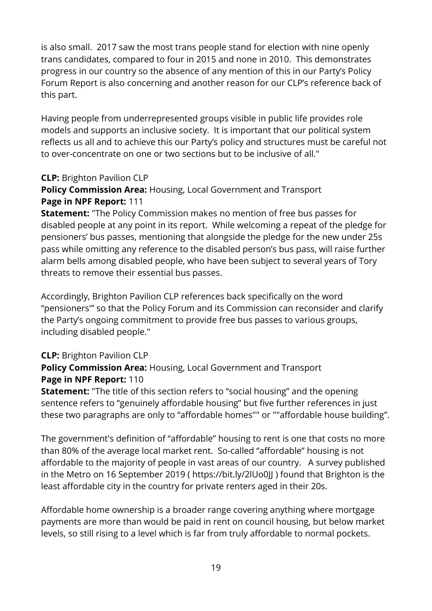is also small. 2017 saw the most trans people stand for election with nine openly trans candidates, compared to four in 2015 and none in 2010. This demonstrates progress in our country so the absence of any mention of this in our Party's Policy Forum Report is also concerning and another reason for our CLP's reference back of this part.

Having people from underrepresented groups visible in public life provides role models and supports an inclusive society. It is important that our political system reflects us all and to achieve this our Party's policy and structures must be careful not to over-concentrate on one or two sections but to be inclusive of all."

### **CLP:** Brighton Pavilion CLP

### **Policy Commission Area:** Housing, Local Government and Transport **Page in NPF Report:** 111

**Statement:** "The Policy Commission makes no mention of free bus passes for disabled people at any point in its report. While welcoming a repeat of the pledge for pensioners' bus passes, mentioning that alongside the pledge for the new under 25s pass while omitting any reference to the disabled person's bus pass, will raise further alarm bells among disabled people, who have been subject to several years of Tory threats to remove their essential bus passes.

Accordingly, Brighton Pavilion CLP references back specifically on the word "pensioners'" so that the Policy Forum and its Commission can reconsider and clarify the Party's ongoing commitment to provide free bus passes to various groups, including disabled people."

### **CLP:** Brighton Pavilion CLP

### **Policy Commission Area:** Housing, Local Government and Transport **Page in NPF Report:** 110

**Statement:** "The title of this section refers to "social housing" and the opening sentence refers to "genuinely affordable housing" but five further references in just these two paragraphs are only to "affordable homes"" or ""affordable house building".

The government's definition of "affordable" housing to rent is one that costs no more than 80% of the average local market rent. So-called "affordable" housing is not affordable to the majority of people in vast areas of our country. A survey published in the Metro on 16 September 2019 ( https://bit.ly/2lUo0JJ ) found that Brighton is the least affordable city in the country for private renters aged in their 20s.

Affordable home ownership is a broader range covering anything where mortgage payments are more than would be paid in rent on council housing, but below market levels, so still rising to a level which is far from truly affordable to normal pockets.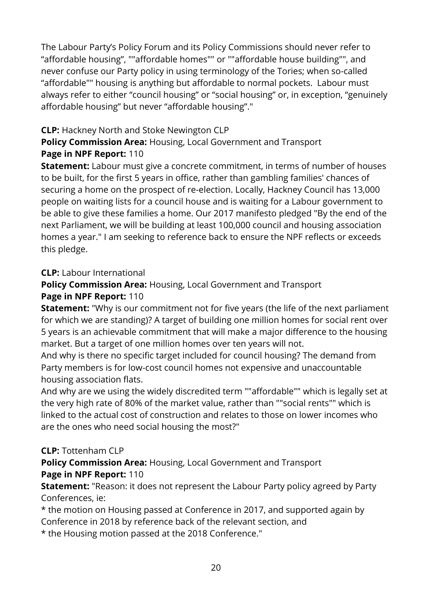The Labour Party's Policy Forum and its Policy Commissions should never refer to "affordable housing", ""affordable homes"" or ""affordable house building"", and never confuse our Party policy in using terminology of the Tories; when so-called "affordable"" housing is anything but affordable to normal pockets. Labour must always refer to either "council housing" or "social housing" or, in exception, "genuinely affordable housing" but never "affordable housing"."

### **CLP:** Hackney North and Stoke Newington CLP

### **Policy Commission Area:** Housing, Local Government and Transport **Page in NPF Report:** 110

**Statement:** Labour must give a concrete commitment, in terms of number of houses to be built, for the first 5 years in office, rather than gambling families' chances of securing a home on the prospect of re-election. Locally, Hackney Council has 13,000 people on waiting lists for a council house and is waiting for a Labour government to be able to give these families a home. Our 2017 manifesto pledged "By the end of the next Parliament, we will be building at least 100,000 council and housing association homes a year." I am seeking to reference back to ensure the NPF reflects or exceeds this pledge.

### **CLP:** Labour International

### **Policy Commission Area:** Housing, Local Government and Transport **Page in NPF Report:** 110

**Statement:** "Why is our commitment not for five years (the life of the next parliament for which we are standing)? A target of building one million homes for social rent over 5 years is an achievable commitment that will make a major difference to the housing market. But a target of one million homes over ten years will not.

And why is there no specific target included for council housing? The demand from Party members is for low-cost council homes not expensive and unaccountable housing association flats.

And why are we using the widely discredited term ""affordable"" which is legally set at the very high rate of 80% of the market value, rather than ""social rents"" which is linked to the actual cost of construction and relates to those on lower incomes who are the ones who need social housing the most?"

### **CLP:** Tottenham CLP

**Policy Commission Area:** Housing, Local Government and Transport **Page in NPF Report:** 110

**Statement:** "Reason: it does not represent the Labour Party policy agreed by Party Conferences, ie:

\* the motion on Housing passed at Conference in 2017, and supported again by Conference in 2018 by reference back of the relevant section, and

\* the Housing motion passed at the 2018 Conference."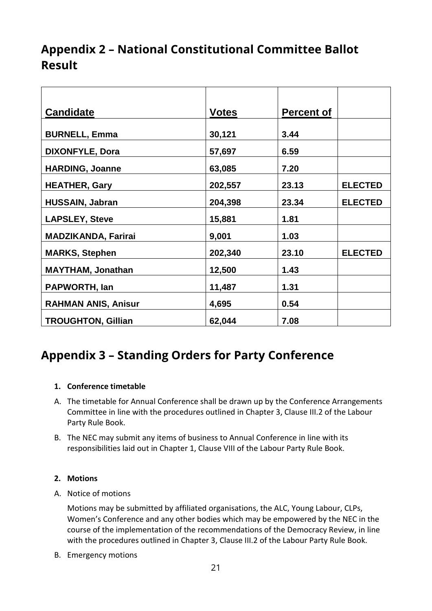### <span id="page-20-0"></span>**Appendix 2 – National Constitutional Committee Ballot Result**

| <b>Candidate</b>           | <b>Votes</b> | <b>Percent of</b> |                |
|----------------------------|--------------|-------------------|----------------|
| <b>BURNELL, Emma</b>       | 30,121       | 3.44              |                |
| <b>DIXONFYLE, Dora</b>     | 57,697       | 6.59              |                |
| <b>HARDING, Joanne</b>     | 63,085       | 7.20              |                |
| <b>HEATHER, Gary</b>       | 202,557      | 23.13             | <b>ELECTED</b> |
| <b>HUSSAIN, Jabran</b>     | 204,398      | 23.34             | <b>ELECTED</b> |
| <b>LAPSLEY, Steve</b>      | 15,881       | 1.81              |                |
| <b>MADZIKANDA, Farirai</b> | 9,001        | 1.03              |                |
| <b>MARKS, Stephen</b>      | 202,340      | 23.10             | <b>ELECTED</b> |
| <b>MAYTHAM, Jonathan</b>   | 12,500       | 1.43              |                |
| PAPWORTH, lan              | 11,487       | 1.31              |                |
| <b>RAHMAN ANIS, Anisur</b> | 4,695        | 0.54              |                |
| <b>TROUGHTON, Gillian</b>  | 62,044       | 7.08              |                |

### <span id="page-20-1"></span>**Appendix 3 – Standing Orders for Party Conference**

#### **1. Conference timetable**

- A. The timetable for Annual Conference shall be drawn up by the Conference Arrangements Committee in line with the procedures outlined in Chapter 3, Clause III.2 of the Labour Party Rule Book.
- B. The NEC may submit any items of business to Annual Conference in line with its responsibilities laid out in Chapter 1, Clause VIII of the Labour Party Rule Book.

#### **2. Motions**

A. Notice of motions

Motions may be submitted by affiliated organisations, the ALC, Young Labour, CLPs, Women's Conference and any other bodies which may be empowered by the NEC in the course of the implementation of the recommendations of the Democracy Review, in line with the procedures outlined in Chapter 3, Clause III.2 of the Labour Party Rule Book.

B. Emergency motions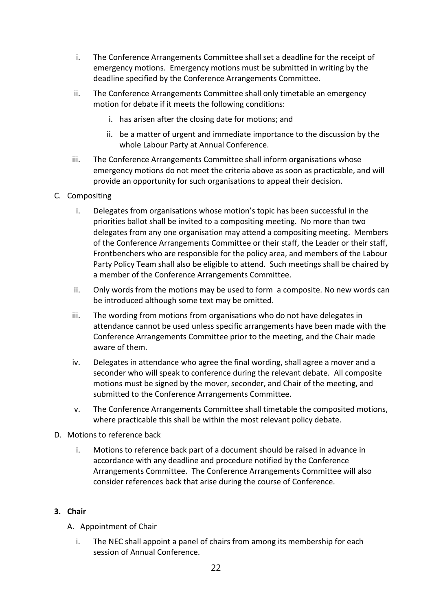- i. The Conference Arrangements Committee shall set a deadline for the receipt of emergency motions. Emergency motions must be submitted in writing by the deadline specified by the Conference Arrangements Committee.
- ii. The Conference Arrangements Committee shall only timetable an emergency motion for debate if it meets the following conditions:
	- i. has arisen after the closing date for motions; and
	- ii. be a matter of urgent and immediate importance to the discussion by the whole Labour Party at Annual Conference.
- iii. The Conference Arrangements Committee shall inform organisations whose emergency motions do not meet the criteria above as soon as practicable, and will provide an opportunity for such organisations to appeal their decision.
- C. Compositing
	- i. Delegates from organisations whose motion's topic has been successful in the priorities ballot shall be invited to a compositing meeting. No more than two delegates from any one organisation may attend a compositing meeting. Members of the Conference Arrangements Committee or their staff, the Leader or their staff, Frontbenchers who are responsible for the policy area, and members of the Labour Party Policy Team shall also be eligible to attend. Such meetings shall be chaired by a member of the Conference Arrangements Committee.
	- ii. Only words from the motions may be used to form a composite. No new words can be introduced although some text may be omitted.
	- iii. The wording from motions from organisations who do not have delegates in attendance cannot be used unless specific arrangements have been made with the Conference Arrangements Committee prior to the meeting, and the Chair made aware of them.
	- iv. Delegates in attendance who agree the final wording, shall agree a mover and a seconder who will speak to conference during the relevant debate. All composite motions must be signed by the mover, seconder, and Chair of the meeting, and submitted to the Conference Arrangements Committee.
	- v. The Conference Arrangements Committee shall timetable the composited motions, where practicable this shall be within the most relevant policy debate.
- D. Motions to reference back
	- i. Motions to reference back part of a document should be raised in advance in accordance with any deadline and procedure notified by the Conference Arrangements Committee. The Conference Arrangements Committee will also consider references back that arise during the course of Conference.

#### **3. Chair**

- A. Appointment of Chair
	- i. The NEC shall appoint a panel of chairs from among its membership for each session of Annual Conference.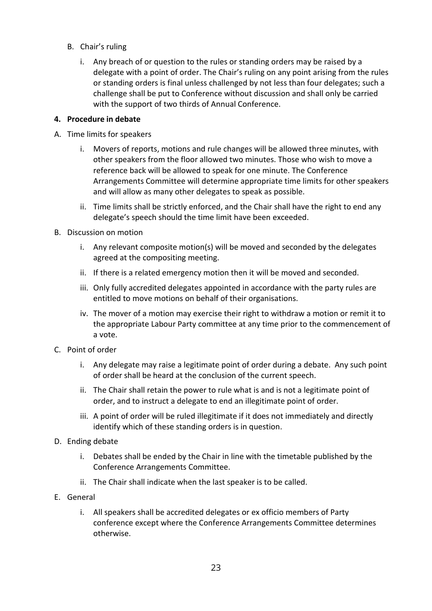- B. Chair's ruling
	- i. Any breach of or question to the rules or standing orders may be raised by a delegate with a point of order. The Chair's ruling on any point arising from the rules or standing orders is final unless challenged by not less than four delegates; such a challenge shall be put to Conference without discussion and shall only be carried with the support of two thirds of Annual Conference.

#### **4. Procedure in debate**

- A. Time limits for speakers
	- i. Movers of reports, motions and rule changes will be allowed three minutes, with other speakers from the floor allowed two minutes. Those who wish to move a reference back will be allowed to speak for one minute. The Conference Arrangements Committee will determine appropriate time limits for other speakers and will allow as many other delegates to speak as possible.
	- ii. Time limits shall be strictly enforced, and the Chair shall have the right to end any delegate's speech should the time limit have been exceeded.
- B. Discussion on motion
	- i. Any relevant composite motion(s) will be moved and seconded by the delegates agreed at the compositing meeting.
	- ii. If there is a related emergency motion then it will be moved and seconded.
	- iii. Only fully accredited delegates appointed in accordance with the party rules are entitled to move motions on behalf of their organisations.
	- iv. The mover of a motion may exercise their right to withdraw a motion or remit it to the appropriate Labour Party committee at any time prior to the commencement of a vote.
- C. Point of order
	- i. Any delegate may raise a legitimate point of order during a debate. Any such point of order shall be heard at the conclusion of the current speech.
	- ii. The Chair shall retain the power to rule what is and is not a legitimate point of order, and to instruct a delegate to end an illegitimate point of order.
	- iii. A point of order will be ruled illegitimate if it does not immediately and directly identify which of these standing orders is in question.
- D. Ending debate
	- i. Debates shall be ended by the Chair in line with the timetable published by the Conference Arrangements Committee.
	- ii. The Chair shall indicate when the last speaker is to be called.
- E. General
	- i. All speakers shall be accredited delegates or ex officio members of Party conference except where the Conference Arrangements Committee determines otherwise.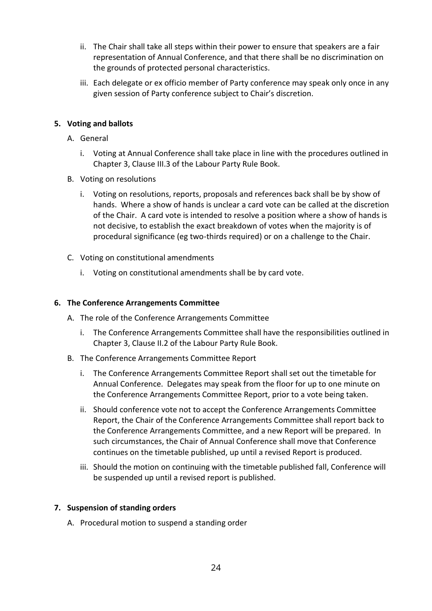- ii. The Chair shall take all steps within their power to ensure that speakers are a fair representation of Annual Conference, and that there shall be no discrimination on the grounds of protected personal characteristics.
- iii. Each delegate or ex officio member of Party conference may speak only once in any given session of Party conference subject to Chair's discretion.

#### **5. Voting and ballots**

- A. General
	- i. Voting at Annual Conference shall take place in line with the procedures outlined in Chapter 3, Clause III.3 of the Labour Party Rule Book.
- B. Voting on resolutions
	- i. Voting on resolutions, reports, proposals and references back shall be by show of hands. Where a show of hands is unclear a card vote can be called at the discretion of the Chair. A card vote is intended to resolve a position where a show of hands is not decisive, to establish the exact breakdown of votes when the majority is of procedural significance (eg two-thirds required) or on a challenge to the Chair.
- C. Voting on constitutional amendments
	- i. Voting on constitutional amendments shall be by card vote.

#### **6. The Conference Arrangements Committee**

- A. The role of the Conference Arrangements Committee
	- i. The Conference Arrangements Committee shall have the responsibilities outlined in Chapter 3, Clause II.2 of the Labour Party Rule Book.
- B. The Conference Arrangements Committee Report
	- i. The Conference Arrangements Committee Report shall set out the timetable for Annual Conference. Delegates may speak from the floor for up to one minute on the Conference Arrangements Committee Report, prior to a vote being taken.
	- ii. Should conference vote not to accept the Conference Arrangements Committee Report, the Chair of the Conference Arrangements Committee shall report back to the Conference Arrangements Committee, and a new Report will be prepared. In such circumstances, the Chair of Annual Conference shall move that Conference continues on the timetable published, up until a revised Report is produced.
	- iii. Should the motion on continuing with the timetable published fall, Conference will be suspended up until a revised report is published.

#### **7. Suspension of standing orders**

A. Procedural motion to suspend a standing order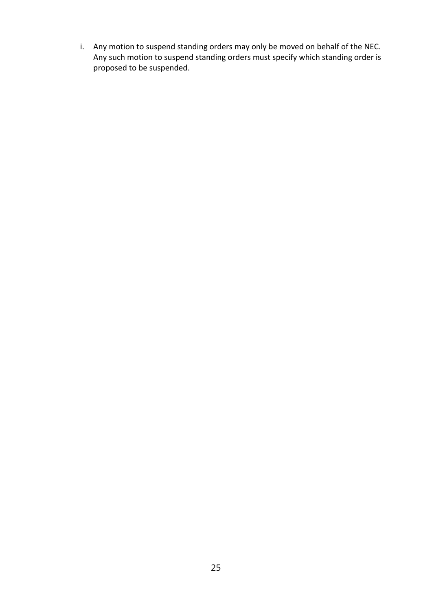i. Any motion to suspend standing orders may only be moved on behalf of the NEC. Any such motion to suspend standing orders must specify which standing order is proposed to be suspended.